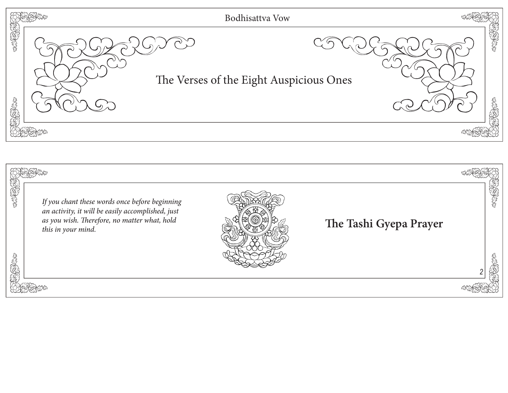

| SERVENTS | If you chant these words once before beginning<br>an activity, it will be easily accomplished, just<br>as you wish. Therefore, no matter what, hold<br>this in your mind. | The Tashi Gyepa Prayer |  |
|----------|---------------------------------------------------------------------------------------------------------------------------------------------------------------------------|------------------------|--|
|          |                                                                                                                                                                           |                        |  |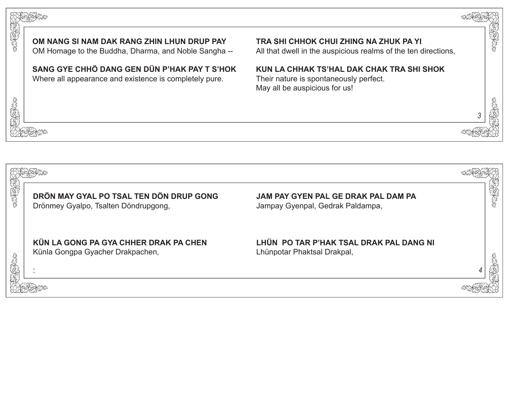

**KÜN LA GONG PA GYA CHHER DRAK PA CHEN**

Künla Gongpa Gyacher Drakpachen,

**LHÜN PO TAR P'HAK TSAL DRAK PAL DANG NI** Lhünpotar Phaktsal Drakpal,

*4*

## :

SERIES S

通代学

SCARCES CO.

成化学

F) SPACTS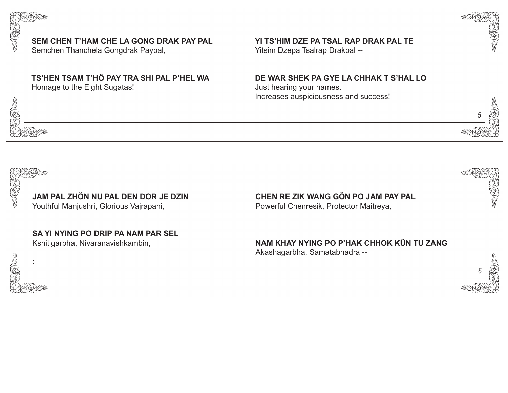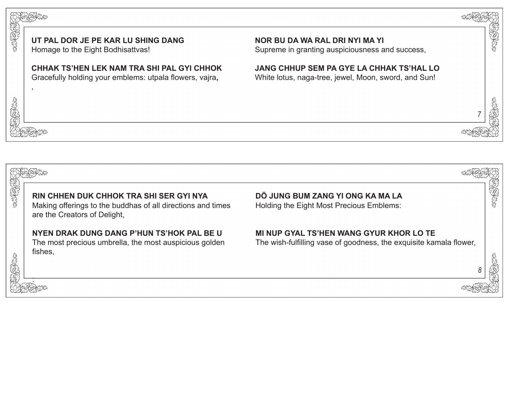



**UT PAL DOR JE PE KAR LU SHING DANG**

Homage to the Eight Bodhisattvas!

,

SERCTORS OF

近けたみ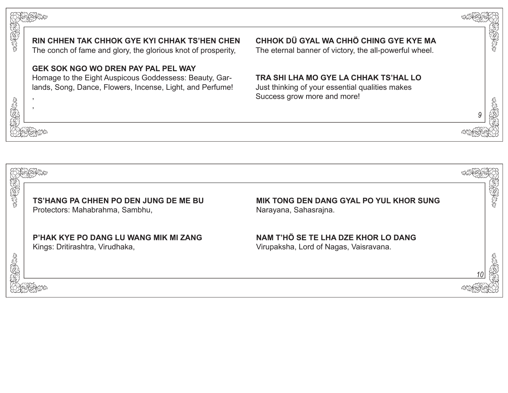

Protectors: Mahabrahma, Sambhu,

Narayana, Sahasrajna.

*10*

**P'HAK KYE PO DANG LU WANG MIK MI ZANG** Kings: Dritirashtra, Virudhaka,

**NAM T'HÖ SE TE LHA DZE KHOR LO DANG** Virupaksha, Lord of Nagas, Vaisravana.



The conch of fame and glory, the glorious knot of prosperity,

## **GEK SOK NGO WO DREN PAY PAL PEL WAY**

Homage to the Eight Auspicous Goddessess: Beauty, Garlands, Song, Dance, Flowers, Incense, Light, and Perfume!



, ,

RARA

SEEP SEEP

我好好吧